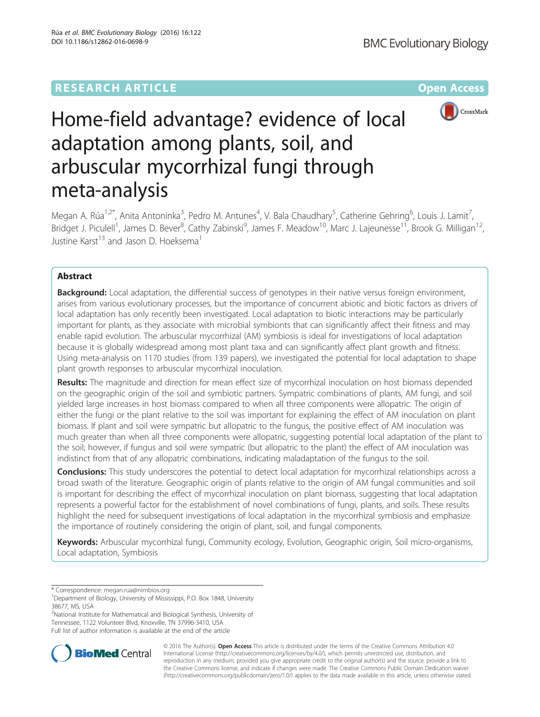

# Home-field advantage? evidence of local adaptation among plants, soil, and arbuscular mycorrhizal fungi through meta-analysis

Megan A. Rúa<sup>1,2\*</sup>, Anita Antoninka<sup>3</sup>, Pedro M. Antunes<sup>4</sup>, V. Bala Chaudhary<sup>5</sup>, Catherine Gehring<sup>6</sup>, Louis J. Lamit<sup>7</sup> , Bridget J. Piculell<sup>1</sup>, James D. Bever<sup>8</sup>, Cathy Zabinski<sup>9</sup>, James F. Meadow<sup>10</sup>, Marc J. Lajeunesse<sup>11</sup>, Brook G. Milligan<sup>12</sup>, Justine Karst<sup>13</sup> and Jason D. Hoeksema<sup>1</sup>

# Abstract

**Background:** Local adaptation, the differential success of genotypes in their native versus foreign environment, arises from various evolutionary processes, but the importance of concurrent abiotic and biotic factors as drivers of local adaptation has only recently been investigated. Local adaptation to biotic interactions may be particularly important for plants, as they associate with microbial symbionts that can significantly affect their fitness and may enable rapid evolution. The arbuscular mycorrhizal (AM) symbiosis is ideal for investigations of local adaptation because it is globally widespread among most plant taxa and can significantly affect plant growth and fitness. Using meta-analysis on 1170 studies (from 139 papers), we investigated the potential for local adaptation to shape plant growth responses to arbuscular mycorrhizal inoculation.

Results: The magnitude and direction for mean effect size of mycorrhizal inoculation on host biomass depended on the geographic origin of the soil and symbiotic partners. Sympatric combinations of plants, AM fungi, and soil yielded large increases in host biomass compared to when all three components were allopatric. The origin of either the fungi or the plant relative to the soil was important for explaining the effect of AM inoculation on plant biomass. If plant and soil were sympatric but allopatric to the fungus, the positive effect of AM inoculation was much greater than when all three components were allopatric, suggesting potential local adaptation of the plant to the soil; however, if fungus and soil were sympatric (but allopatric to the plant) the effect of AM inoculation was indistinct from that of any allopatric combinations, indicating maladaptation of the fungus to the soil.

**Conclusions:** This study underscores the potential to detect local adaptation for mycorrhizal relationships across a broad swath of the literature. Geographic origin of plants relative to the origin of AM fungal communities and soil is important for describing the effect of mycorrhizal inoculation on plant biomass, suggesting that local adaptation represents a powerful factor for the establishment of novel combinations of fungi, plants, and soils. These results highlight the need for subsequent investigations of local adaptation in the mycorrhizal symbiosis and emphasize the importance of routinely considering the origin of plant, soil, and fungal components.

Keywords: Arbuscular mycorrhizal fungi, Community ecology, Evolution, Geographic origin, Soil micro-organisms, Local adaptation, Symbiosis

<sup>2</sup>National Institute for Mathematical and Biological Synthesis, University of Tennessee, 1122 Volunteer Blvd, Knoxville, TN 37996-3410, USA Full list of author information is available at the end of the article



© 2016 The Author(s). Open Access This article is distributed under the terms of the Creative Commons Attribution 4.0 International License [\(http://creativecommons.org/licenses/by/4.0/](http://creativecommons.org/licenses/by/4.0/)), which permits unrestricted use, distribution, and reproduction in any medium, provided you give appropriate credit to the original author(s) and the source, provide a link to the Creative Commons license, and indicate if changes were made. The Creative Commons Public Domain Dedication waiver [\(http://creativecommons.org/publicdomain/zero/1.0/](http://creativecommons.org/publicdomain/zero/1.0/)) applies to the data made available in this article, unless otherwise stated.

<sup>\*</sup> Correspondence: [megan.rua@nimbios.org](mailto:megan.rua@nimbios.org) <sup>1</sup>

<sup>&</sup>lt;sup>1</sup>Department of Biology, University of Mississippi, P.O. Box 1848, University 38677, MS, USA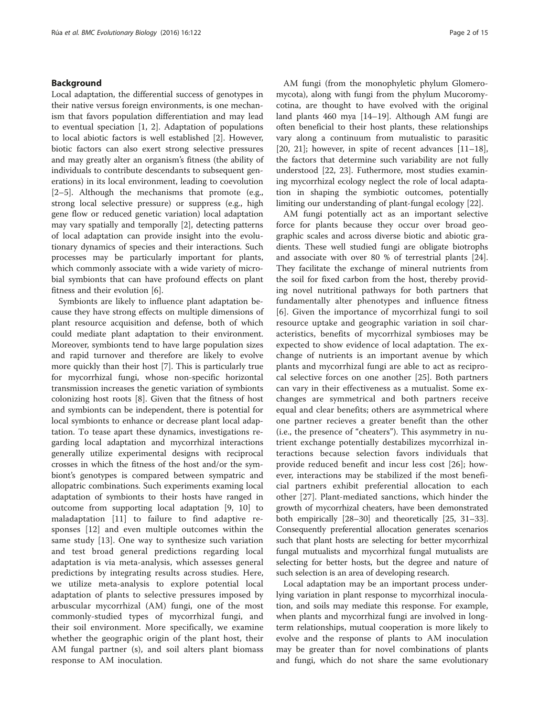## Background

Local adaptation, the differential success of genotypes in their native versus foreign environments, is one mechanism that favors population differentiation and may lead to eventual speciation [[1, 2\]](#page-12-0). Adaptation of populations to local abiotic factors is well established [\[2](#page-12-0)]. However, biotic factors can also exert strong selective pressures and may greatly alter an organism's fitness (the ability of individuals to contribute descendants to subsequent generations) in its local environment, leading to coevolution [[2](#page-12-0)–[5\]](#page-12-0). Although the mechanisms that promote (e.g., strong local selective pressure) or suppress (e.g., high gene flow or reduced genetic variation) local adaptation may vary spatially and temporally [[2\]](#page-12-0), detecting patterns of local adaptation can provide insight into the evolutionary dynamics of species and their interactions. Such processes may be particularly important for plants, which commonly associate with a wide variety of microbial symbionts that can have profound effects on plant fitness and their evolution [\[6\]](#page-12-0).

Symbionts are likely to influence plant adaptation because they have strong effects on multiple dimensions of plant resource acquisition and defense, both of which could mediate plant adaptation to their environment. Moreover, symbionts tend to have large population sizes and rapid turnover and therefore are likely to evolve more quickly than their host [[7\]](#page-12-0). This is particularly true for mycorrhizal fungi, whose non-specific horizontal transmission increases the genetic variation of symbionts colonizing host roots [\[8](#page-12-0)]. Given that the fitness of host and symbionts can be independent, there is potential for local symbionts to enhance or decrease plant local adaptation. To tease apart these dynamics, investigations regarding local adaptation and mycorrhizal interactions generally utilize experimental designs with reciprocal crosses in which the fitness of the host and/or the symbiont's genotypes is compared between sympatric and allopatric combinations. Such experiments examing local adaptation of symbionts to their hosts have ranged in outcome from supporting local adaptation [[9, 10](#page-13-0)] to maladaptation [[11\]](#page-13-0) to failure to find adaptive responses [\[12](#page-13-0)] and even multiple outcomes within the same study [\[13](#page-13-0)]. One way to synthesize such variation and test broad general predictions regarding local adaptation is via meta-analysis, which assesses general predictions by integrating results across studies. Here, we utilize meta-analysis to explore potential local adaptation of plants to selective pressures imposed by arbuscular mycorrhizal (AM) fungi, one of the most commonly-studied types of mycorrhizal fungi, and their soil environment. More specifically, we examine whether the geographic origin of the plant host, their AM fungal partner (s), and soil alters plant biomass response to AM inoculation.

AM fungi (from the monophyletic phylum Glomeromycota), along with fungi from the phylum Mucoromycotina, are thought to have evolved with the original land plants 460 mya [[14](#page-13-0)–[19](#page-13-0)]. Although AM fungi are often beneficial to their host plants, these relationships vary along a continuum from mutualistic to parasitic [[20, 21](#page-13-0)]; however, in spite of recent advances  $[11-18]$  $[11-18]$  $[11-18]$  $[11-18]$  $[11-18]$ , the factors that determine such variability are not fully understood [\[22](#page-13-0), [23](#page-13-0)]. Futhermore, most studies examining mycorrhizal ecology neglect the role of local adaptation in shaping the symbiotic outcomes, potentially limiting our understanding of plant-fungal ecology [\[22\]](#page-13-0).

AM fungi potentially act as an important selective force for plants because they occur over broad geographic scales and across diverse biotic and abiotic gradients. These well studied fungi are obligate biotrophs and associate with over 80 % of terrestrial plants [\[24](#page-13-0)]. They facilitate the exchange of mineral nutrients from the soil for fixed carbon from the host, thereby providing novel nutritional pathways for both partners that fundamentally alter phenotypes and influence fitness [[6\]](#page-12-0). Given the importance of mycorrhizal fungi to soil resource uptake and geographic variation in soil characteristics, benefits of mycorrhizal symbioses may be expected to show evidence of local adaptation. The exchange of nutrients is an important avenue by which plants and mycorrhizal fungi are able to act as reciprocal selective forces on one another [[25\]](#page-13-0). Both partners can vary in their effectiveness as a mutualist. Some exchanges are symmetrical and both partners receive equal and clear benefits; others are asymmetrical where one partner recieves a greater benefit than the other (i.e., the presence of "cheaters"). This asymmetry in nutrient exchange potentially destabilizes mycorrhizal interactions because selection favors individuals that provide reduced benefit and incur less cost [[26\]](#page-13-0); however, interactions may be stabilized if the most beneficial partners exhibit preferential allocation to each other [[27](#page-13-0)]. Plant-mediated sanctions, which hinder the growth of mycorrhizal cheaters, have been demonstrated both empirically [[28](#page-13-0)–[30\]](#page-13-0) and theoretically [\[25, 31](#page-13-0)–[33](#page-13-0)]. Consequently preferential allocation generates scenarios such that plant hosts are selecting for better mycorrhizal fungal mutualists and mycorrhizal fungal mutualists are selecting for better hosts, but the degree and nature of such selection is an area of developing research.

Local adaptation may be an important process underlying variation in plant response to mycorrhizal inoculation, and soils may mediate this response. For example, when plants and mycorrhizal fungi are involved in longterm relationships, mutual cooperation is more likely to evolve and the response of plants to AM inoculation may be greater than for novel combinations of plants and fungi, which do not share the same evolutionary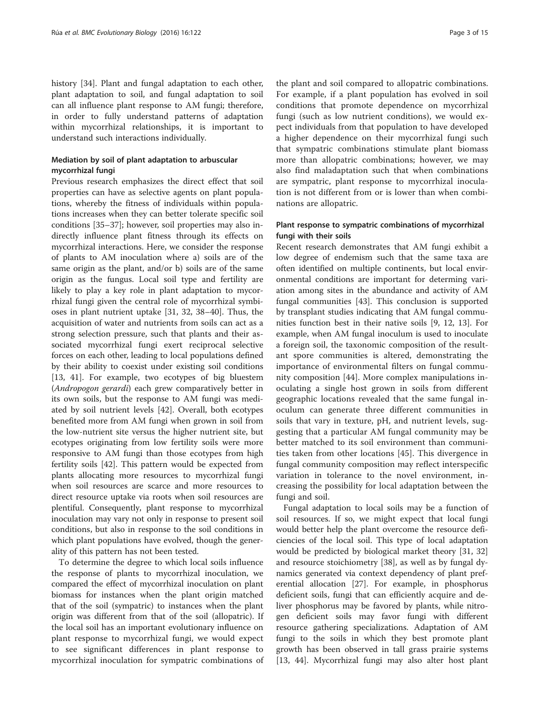history [[34\]](#page-13-0). Plant and fungal adaptation to each other, plant adaptation to soil, and fungal adaptation to soil can all influence plant response to AM fungi; therefore, in order to fully understand patterns of adaptation within mycorrhizal relationships, it is important to understand such interactions individually.

## Mediation by soil of plant adaptation to arbuscular mycorrhizal fungi

Previous research emphasizes the direct effect that soil properties can have as selective agents on plant populations, whereby the fitness of individuals within populations increases when they can better tolerate specific soil conditions [[35](#page-13-0)–[37](#page-13-0)]; however, soil properties may also indirectly influence plant fitness through its effects on mycorrhizal interactions. Here, we consider the response of plants to AM inoculation where a) soils are of the same origin as the plant, and/or b) soils are of the same origin as the fungus. Local soil type and fertility are likely to play a key role in plant adaptation to mycorrhizal fungi given the central role of mycorrhizal symbioses in plant nutrient uptake [[31, 32](#page-13-0), [38](#page-13-0)–[40\]](#page-13-0). Thus, the acquisition of water and nutrients from soils can act as a strong selection pressure, such that plants and their associated mycorrhizal fungi exert reciprocal selective forces on each other, leading to local populations defined by their ability to coexist under existing soil conditions [[13, 41](#page-13-0)]. For example, two ecotypes of big bluestem (Andropogon gerardi) each grew comparatively better in its own soils, but the response to AM fungi was mediated by soil nutrient levels [\[42\]](#page-13-0). Overall, both ecotypes benefited more from AM fungi when grown in soil from the low-nutrient site versus the higher nutrient site, but ecotypes originating from low fertility soils were more responsive to AM fungi than those ecotypes from high fertility soils [[42](#page-13-0)]. This pattern would be expected from plants allocating more resources to mycorrhizal fungi when soil resources are scarce and more resources to direct resource uptake via roots when soil resources are plentiful. Consequently, plant response to mycorrhizal inoculation may vary not only in response to present soil conditions, but also in response to the soil conditions in which plant populations have evolved, though the generality of this pattern has not been tested.

To determine the degree to which local soils influence the response of plants to mycorrhizal inoculation, we compared the effect of mycorrhizal inoculation on plant biomass for instances when the plant origin matched that of the soil (sympatric) to instances when the plant origin was different from that of the soil (allopatric). If the local soil has an important evolutionary influence on plant response to mycorrhizal fungi, we would expect to see significant differences in plant response to mycorrhizal inoculation for sympatric combinations of

the plant and soil compared to allopatric combinations. For example, if a plant population has evolved in soil conditions that promote dependence on mycorrhizal fungi (such as low nutrient conditions), we would expect individuals from that population to have developed a higher dependence on their mycorrhizal fungi such that sympatric combinations stimulate plant biomass more than allopatric combinations; however, we may also find maladaptation such that when combinations are sympatric, plant response to mycorrhizal inoculation is not different from or is lower than when combinations are allopatric.

## Plant response to sympatric combinations of mycorrhizal fungi with their soils

Recent research demonstrates that AM fungi exhibit a low degree of endemism such that the same taxa are often identified on multiple continents, but local environmental conditions are important for determing variation among sites in the abundance and activity of AM fungal communities [\[43](#page-13-0)]. This conclusion is supported by transplant studies indicating that AM fungal communities function best in their native soils [\[9](#page-13-0), [12](#page-13-0), [13](#page-13-0)]. For example, when AM fungal inoculum is used to inoculate a foreign soil, the taxonomic composition of the resultant spore communities is altered, demonstrating the importance of environmental filters on fungal community composition [[44\]](#page-13-0). More complex manipulations inoculating a single host grown in soils from different geographic locations revealed that the same fungal inoculum can generate three different communities in soils that vary in texture, pH, and nutrient levels, suggesting that a particular AM fungal community may be better matched to its soil environment than communities taken from other locations [[45\]](#page-13-0). This divergence in fungal community composition may reflect interspecific variation in tolerance to the novel environment, increasing the possibility for local adaptation between the fungi and soil.

Fungal adaptation to local soils may be a function of soil resources. If so, we might expect that local fungi would better help the plant overcome the resource deficiencies of the local soil. This type of local adaptation would be predicted by biological market theory [[31, 32](#page-13-0)] and resource stoichiometry [\[38\]](#page-13-0), as well as by fungal dynamics generated via context dependency of plant preferential allocation [\[27](#page-13-0)]. For example, in phosphorus deficient soils, fungi that can efficiently acquire and deliver phosphorus may be favored by plants, while nitrogen deficient soils may favor fungi with different resource gathering specializations. Adaptation of AM fungi to the soils in which they best promote plant growth has been observed in tall grass prairie systems [[13, 44](#page-13-0)]. Mycorrhizal fungi may also alter host plant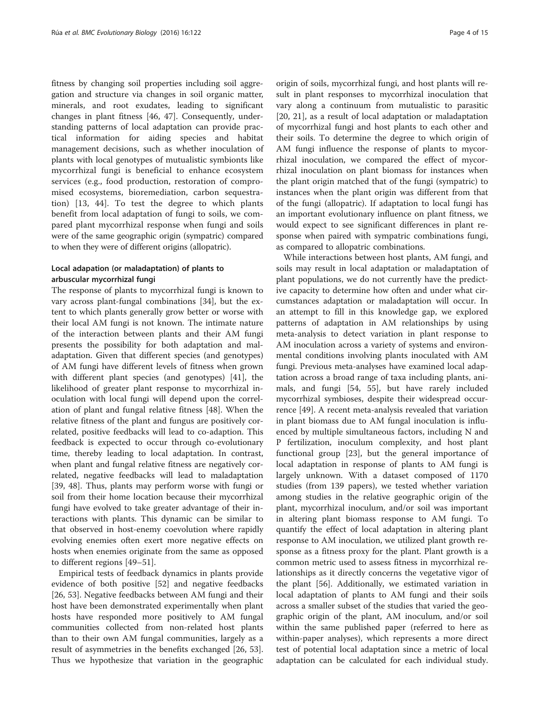fitness by changing soil properties including soil aggregation and structure via changes in soil organic matter, minerals, and root exudates, leading to significant changes in plant fitness [[46, 47\]](#page-13-0). Consequently, understanding patterns of local adaptation can provide practical information for aiding species and habitat management decisions, such as whether inoculation of plants with local genotypes of mutualistic symbionts like mycorrhizal fungi is beneficial to enhance ecosystem services (e.g., food production, restoration of compromised ecosystems, bioremediation, carbon sequestration) [\[13](#page-13-0), [44\]](#page-13-0). To test the degree to which plants benefit from local adaptation of fungi to soils, we compared plant mycorrhizal response when fungi and soils were of the same geographic origin (sympatric) compared to when they were of different origins (allopatric).

## Local adapation (or maladaptation) of plants to arbuscular mycorrhizal fungi

The response of plants to mycorrhizal fungi is known to vary across plant-fungal combinations [\[34](#page-13-0)], but the extent to which plants generally grow better or worse with their local AM fungi is not known. The intimate nature of the interaction between plants and their AM fungi presents the possibility for both adaptation and maladaptation. Given that different species (and genotypes) of AM fungi have different levels of fitness when grown with different plant species (and genotypes) [[41\]](#page-13-0), the likelihood of greater plant response to mycorrhizal inoculation with local fungi will depend upon the correlation of plant and fungal relative fitness [\[48](#page-13-0)]. When the relative fitness of the plant and fungus are positively correlated, positive feedbacks will lead to co-adaption. This feedback is expected to occur through co-evolutionary time, thereby leading to local adaptation. In contrast, when plant and fungal relative fitness are negatively correlated, negative feedbacks will lead to maladaptation [[39, 48](#page-13-0)]. Thus, plants may perform worse with fungi or soil from their home location because their mycorrhizal fungi have evolved to take greater advantage of their interactions with plants. This dynamic can be similar to that observed in host-enemy coevolution where rapidly evolving enemies often exert more negative effects on hosts when enemies originate from the same as opposed to different regions [\[49](#page-13-0)–[51\]](#page-13-0).

Empirical tests of feedback dynamics in plants provide evidence of both positive [\[52\]](#page-13-0) and negative feedbacks [[26, 53\]](#page-13-0). Negative feedbacks between AM fungi and their host have been demonstrated experimentally when plant hosts have responded more positively to AM fungal communities collected from non-related host plants than to their own AM fungal communities, largely as a result of asymmetries in the benefits exchanged [\[26](#page-13-0), [53](#page-13-0)]. Thus we hypothesize that variation in the geographic

origin of soils, mycorrhizal fungi, and host plants will result in plant responses to mycorrhizal inoculation that vary along a continuum from mutualistic to parasitic [[20, 21](#page-13-0)], as a result of local adaptation or maladaptation of mycorrhizal fungi and host plants to each other and their soils. To determine the degree to which origin of AM fungi influence the response of plants to mycorrhizal inoculation, we compared the effect of mycorrhizal inoculation on plant biomass for instances when the plant origin matched that of the fungi (sympatric) to instances when the plant origin was different from that of the fungi (allopatric). If adaptation to local fungi has an important evolutionary influence on plant fitness, we would expect to see significant differences in plant response when paired with sympatric combinations fungi, as compared to allopatric combinations.

While interactions between host plants, AM fungi, and soils may result in local adaptation or maladaptation of plant populations, we do not currently have the predictive capacity to determine how often and under what circumstances adaptation or maladaptation will occur. In an attempt to fill in this knowledge gap, we explored patterns of adaptation in AM relationships by using meta-analysis to detect variation in plant response to AM inoculation across a variety of systems and environmental conditions involving plants inoculated with AM fungi. Previous meta-analyses have examined local adaptation across a broad range of taxa including plants, animals, and fungi [\[54, 55\]](#page-13-0), but have rarely included mycorrhizal symbioses, despite their widespread occurrence [\[49\]](#page-13-0). A recent meta-analysis revealed that variation in plant biomass due to AM fungal inoculation is influenced by multiple simultaneous factors, including N and P fertilization, inoculum complexity, and host plant functional group [\[23](#page-13-0)], but the general importance of local adaptation in response of plants to AM fungi is largely unknown. With a dataset composed of 1170 studies (from 139 papers), we tested whether variation among studies in the relative geographic origin of the plant, mycorrhizal inoculum, and/or soil was important in altering plant biomass response to AM fungi. To quantify the effect of local adaptation in altering plant response to AM inoculation, we utilized plant growth response as a fitness proxy for the plant. Plant growth is a common metric used to assess fitness in mycorrhizal relationships as it directly concerns the vegetative vigor of the plant [[56](#page-13-0)]. Additionally, we estimated variation in local adaptation of plants to AM fungi and their soils across a smaller subset of the studies that varied the geographic origin of the plant, AM inoculum, and/or soil within the same published paper (referred to here as within-paper analyses), which represents a more direct test of potential local adaptation since a metric of local adaptation can be calculated for each individual study.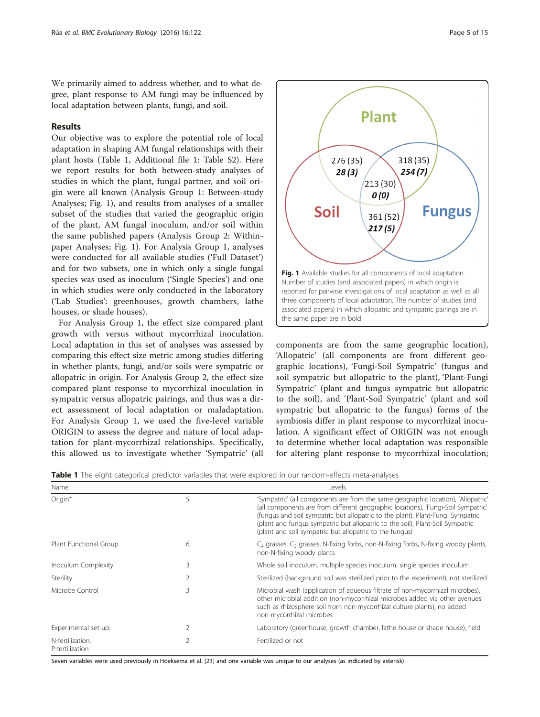<span id="page-4-0"></span>We primarily aimed to address whether, and to what degree, plant response to AM fungi may be influenced by local adaptation between plants, fungi, and soil.

## Results

Our objective was to explore the potential role of local adaptation in shaping AM fungal relationships with their plant hosts (Table 1, Additional file [1:](#page-12-0) Table S2). Here we report results for both between-study analyses of studies in which the plant, fungal partner, and soil origin were all known (Analysis Group 1: Between-study Analyses; Fig. 1), and results from analyses of a smaller subset of the studies that varied the geographic origin of the plant, AM fungal inoculum, and/or soil within the same published papers (Analysis Group 2: Withinpaper Analyses; Fig. 1). For Analysis Group 1, analyses were conducted for all available studies ('Full Dataset') and for two subsets, one in which only a single fungal species was used as inoculum ('Single Species') and one in which studies were only conducted in the laboratory ('Lab Studies': greenhouses, growth chambers, lathe houses, or shade houses).

For Analysis Group 1, the effect size compared plant growth with versus without mycorrhizal inoculation. Local adaptation in this set of analyses was assessed by comparing this effect size metric among studies differing in whether plants, fungi, and/or soils were sympatric or allopatric in origin. For Analysis Group 2, the effect size compared plant response to mycorrhizal inoculation in sympatric versus allopatric pairings, and thus was a direct assessment of local adaptation or maladaptation. For Analysis Group 1, we used the five-level variable ORIGIN to assess the degree and nature of local adaptation for plant-mycorrhizal relationships. Specifically, this allowed us to investigate whether 'Sympatric' (all



components are from the same geographic location), 'Allopatric' (all components are from different geographic locations), 'Fungi-Soil Sympatric' (fungus and soil sympatric but allopatric to the plant), 'Plant-Fungi Sympatric' (plant and fungus sympatric but allopatric to the soil), and 'Plant-Soil Sympatric' (plant and soil sympatric but allopatric to the fungus) forms of the symbiosis differ in plant response to mycorrhizal inoculation. A significant effect of ORIGIN was not enough to determine whether local adaptation was responsible for altering plant response to mycorrhizal inoculation;

|  |  |  |  |  |  |  | <b>Table 1</b> The eight categorical predictor variables that were explored in our random-effects meta-analyses |  |
|--|--|--|--|--|--|--|-----------------------------------------------------------------------------------------------------------------|--|
|--|--|--|--|--|--|--|-----------------------------------------------------------------------------------------------------------------|--|

| Name                                |   | Levels                                                                                                                                                                                                                                                                                                                                                                                             |  |  |  |
|-------------------------------------|---|----------------------------------------------------------------------------------------------------------------------------------------------------------------------------------------------------------------------------------------------------------------------------------------------------------------------------------------------------------------------------------------------------|--|--|--|
| Origin*                             | 5 | 'Sympatric' (all components are from the same geographic location), 'Allopatric'<br>(all components are from different geographic locations), 'Fungi-Soil Sympatric'<br>(fungus and soil sympatric but allopatric to the plant), Plant-Fungi Sympatric<br>(plant and fungus sympatric but allopatric to the soil), Plant-Soil Sympatric<br>(plant and soil sympatric but allopatric to the fungus) |  |  |  |
| Plant Functional Group              | 6 | $C_4$ grasses, $C_3$ grasses, N-fixing forbs, non-N-fixing forbs, N-fixing woody plants,<br>non-N-fixing woody plants                                                                                                                                                                                                                                                                              |  |  |  |
| Inoculum Complexity                 | 3 | Whole soil inoculum, multiple species inoculum, single species inoculum                                                                                                                                                                                                                                                                                                                            |  |  |  |
| Sterility                           | 2 | Sterilized (background soil was sterilized prior to the experiment), not sterilized                                                                                                                                                                                                                                                                                                                |  |  |  |
| Microbe Control                     | 3 | Microbial wash (application of aqueous filtrate of non-mycorrhizal microbes),<br>other microbial addition (non-mycorrhizal microbes added via other avenues<br>such as rhizosphere soil from non-mycorrhizal culture plants), no added<br>non-mycorrhizal microbes                                                                                                                                 |  |  |  |
| Experimental set-up:                | 2 | Laboratory (greenhouse, growth chamber, lathe house or shade house), field                                                                                                                                                                                                                                                                                                                         |  |  |  |
| N-fertilization,<br>P-fertilization | 2 | Fertilized or not                                                                                                                                                                                                                                                                                                                                                                                  |  |  |  |

Seven variables were used previously in Hoeksema et al. [[23\]](#page-13-0) and one variable was unique to our analyses (as indicated by asterisk)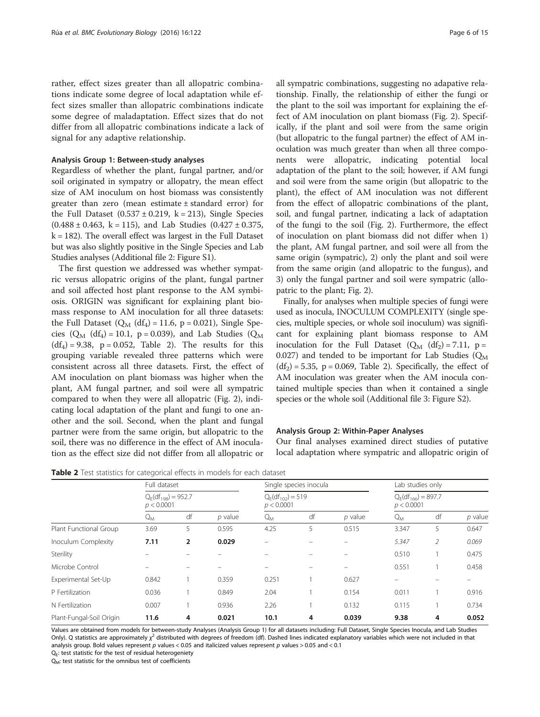<span id="page-5-0"></span>rather, effect sizes greater than all allopatric combinations indicate some degree of local adaptation while effect sizes smaller than allopatric combinations indicate some degree of maladaptation. Effect sizes that do not differ from all allopatric combinations indicate a lack of signal for any adaptive relationship.

#### Analysis Group 1: Between-study analyses

Regardless of whether the plant, fungal partner, and/or soil originated in sympatry or allopatry, the mean effect size of AM inoculum on host biomass was consistently greater than zero (mean estimate ± standard error) for the Full Dataset  $(0.537 \pm 0.219, k = 213)$ , Single Species  $(0.488 \pm 0.463, k = 115)$ , and Lab Studies  $(0.427 \pm 0.375,$  $k = 182$ ). The overall effect was largest in the Full Dataset but was also slightly positive in the Single Species and Lab Studies analyses (Additional file [2:](#page-12-0) Figure S1).

The first question we addressed was whether sympatric versus allopatric origins of the plant, fungal partner and soil affected host plant response to the AM symbiosis. ORIGIN was significant for explaining plant biomass response to AM inoculation for all three datasets: the Full Dataset  $(Q_M (df_4) = 11.6, p = 0.021)$ , Single Species ( $Q_M$  (df<sub>4</sub>) = 10.1, p = 0.039), and Lab Studies ( $Q_M$  $(df<sub>4</sub>) = 9.38$ ,  $p = 0.052$ , Table 2). The results for this grouping variable revealed three patterns which were consistent across all three datasets. First, the effect of AM inoculation on plant biomass was higher when the plant, AM fungal partner, and soil were all sympatric compared to when they were all allopatric (Fig. [2](#page-6-0)), indicating local adaptation of the plant and fungi to one another and the soil. Second, when the plant and fungal partner were from the same origin, but allopatric to the soil, there was no difference in the effect of AM inoculation as the effect size did not differ from all allopatric or all sympatric combinations, suggesting no adapative relationship. Finally, the relationship of either the fungi or the plant to the soil was important for explaining the effect of AM inoculation on plant biomass (Fig. [2\)](#page-6-0). Specifically, if the plant and soil were from the same origin (but allopatric to the fungal partner) the effect of AM inoculation was much greater than when all three components were allopatric, indicating potential local adaptation of the plant to the soil; however, if AM fungi and soil were from the same origin (but allopatric to the plant), the effect of AM inoculation was not different from the effect of allopatric combinations of the plant, soil, and fungal partner, indicating a lack of adaptation of the fungi to the soil (Fig. [2](#page-6-0)). Furthermore, the effect of inoculation on plant biomass did not differ when 1) the plant, AM fungal partner, and soil were all from the same origin (sympatric), 2) only the plant and soil were from the same origin (and allopatric to the fungus), and 3) only the fungal partner and soil were sympatric (allopatric to the plant; Fig. [2](#page-6-0)).

Finally, for analyses when multiple species of fungi were used as inocula, INOCULUM COMPLEXITY (single species, multiple species, or whole soil inoculum) was significant for explaining plant biomass response to AM inoculation for the Full Dataset  $(Q_M (df_2) = 7.11, p =$ 0.027) and tended to be important for Lab Studies ( $Q_M$  $(df<sub>2</sub>) = 5.35$ , p = 0.069, Table 2). Specifically, the effect of AM inoculation was greater when the AM inocula contained multiple species than when it contained a single species or the whole soil (Additional file [3](#page-12-0): Figure S2).

## Analysis Group 2: Within-Paper Analyses

Our final analyses examined direct studies of putative local adaptation where sympatric and allopatric origin of

|                          | Full dataset<br>$Q_F(df_{198}) = 952.7$<br>p < 0.0001 |    |           | Single species inocula<br>$Q_F(df_{102}) = 519$<br>p < 0.0001 |    |           | Lab studies only<br>$Q_F(df_{166}) = 897.7$<br>p < 0.0001 |    |         |
|--------------------------|-------------------------------------------------------|----|-----------|---------------------------------------------------------------|----|-----------|-----------------------------------------------------------|----|---------|
|                          |                                                       |    |           |                                                               |    |           |                                                           |    |         |
|                          | $Q_{M}$                                               | df | $p$ value | $Q_{M}$                                                       | df | $p$ value | $Q_{M}$                                                   | df | p value |
| Plant Functional Group   | 3.69                                                  | 5  | 0.595     | 4.25                                                          | 5  | 0.515     | 3.347                                                     | 5  | 0.647   |
| Inoculum Complexity      | 7.11                                                  | 2  | 0.029     |                                                               |    |           | 5.347                                                     | 2  | 0.069   |
| Sterility                |                                                       |    |           |                                                               |    | -         | 0.510                                                     |    | 0.475   |
| Microbe Control          |                                                       |    |           |                                                               |    |           | 0.551                                                     |    | 0.458   |
| Experimental Set-Up      | 0.842                                                 |    | 0.359     | 0.251                                                         |    | 0.627     |                                                           |    |         |
| P Fertilization          | 0.036                                                 |    | 0.849     | 2.04                                                          |    | 0.154     | 0.011                                                     |    | 0.916   |
| N Fertilization          | 0.007                                                 |    | 0.936     | 2.26                                                          |    | 0.132     | 0.115                                                     |    | 0.734   |
| Plant-Fungal-Soil Origin | 11.6                                                  | 4  | 0.021     | 10.1                                                          | 4  | 0.039     | 9.38                                                      | 4  | 0.052   |

Table 2 Test statistics for categorical effects in models for each dataset

Values are obtained from models for between-study Analyses (Analysis Group 1) for all datasets including: Full Dataset, Single Species Inocula, and Lab Studies Only). Q statistics are approximately  $\chi^2$  distributed with degrees of freedom (df). Dashed lines indicated explanatory variables which were not included in that analysis group. Bold values represent p values < 0.05 and italicized values represent p values > 0.05 and < 0.1

 $Q_F$ : test statistic for the test of residual heterogeniety

 $Q_M$ : test statistic for the omnibus test of coefficients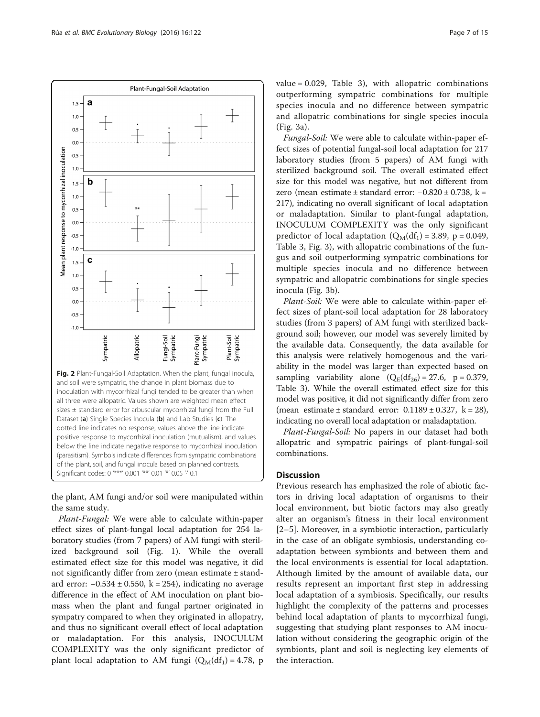the plant, AM fungi and/or soil were manipulated within the same study.

Plant-Fungal: We were able to calculate within-paper effect sizes of plant-fungal local adaptation for 254 laboratory studies (from 7 papers) of AM fungi with sterilized background soil (Fig. [1\)](#page-4-0). While the overall estimated effect size for this model was negative, it did not significantly differ from zero (mean estimate ± standard error:  $-0.534 \pm 0.550$ , k = 254), indicating no average difference in the effect of AM inoculation on plant biomass when the plant and fungal partner originated in sympatry compared to when they originated in allopatry, and thus no significant overall effect of local adaptation or maladaptation. For this analysis, INOCULUM COMPLEXITY was the only significant predictor of plant local adaptation to AM fungi  $(Q_M(df_1) = 4.78, p$ 

value = 0.029, Table [3\)](#page-7-0), with allopatric combinations outperforming sympatric combinations for multiple species inocula and no difference between sympatric and allopatric combinations for single species inocula (Fig. [3a\)](#page-7-0).

Fungal-Soil: We were able to calculate within-paper effect sizes of potential fungal-soil local adaptation for 217 laboratory studies (from 5 papers) of AM fungi with sterilized background soil. The overall estimated effect size for this model was negative, but not different from zero (mean estimate ± standard error: −0.820 ± 0.738, k = 217), indicating no overall significant of local adaptation or maladaptation. Similar to plant-fungal adaptation, INOCULUM COMPLEXITY was the only significant predictor of local adaptation  $(Q_M(df_1) = 3.89, p = 0.049,$ Table [3](#page-7-0), Fig. [3](#page-7-0)), with allopatric combinations of the fungus and soil outperforming sympatric combinations for multiple species inocula and no difference between sympatric and allopatric combinations for single species inocula (Fig. [3b](#page-7-0)).

Plant-Soil: We were able to calculate within-paper effect sizes of plant-soil local adaptation for 28 laboratory studies (from 3 papers) of AM fungi with sterilized background soil; however, our model was severely limited by the available data. Consequently, the data available for this analysis were relatively homogenous and the variability in the model was larger than expected based on sampling variability alone  $(Q_E(df_{26}) = 27.6, p = 0.379,$ Table [3](#page-7-0)). While the overall estimated effect size for this model was positive, it did not significantly differ from zero (mean estimate  $\pm$  standard error:  $0.1189 \pm 0.327$ ,  $k = 28$ ), indicating no overall local adaptation or maladaptation.

Plant-Fungal-Soil: No papers in our dataset had both allopatric and sympatric pairings of plant-fungal-soil combinations.

## **Discussion**

Previous research has emphasized the role of abiotic factors in driving local adaptation of organisms to their local environment, but biotic factors may also greatly alter an organism's fitness in their local environment [[2](#page-12-0)–[5\]](#page-12-0). Moreover, in a symbiotic interaction, particularly in the case of an obligate symbiosis, understanding coadaptation between symbionts and between them and the local environments is essential for local adaptation. Although limited by the amount of available data, our results represent an important first step in addressing local adaptation of a symbiosis. Specifically, our results highlight the complexity of the patterns and processes behind local adaptation of plants to mycorrhizal fungi, suggesting that studying plant responses to AM inoculation without considering the geographic origin of the symbionts, plant and soil is neglecting key elements of the interaction.

<span id="page-6-0"></span>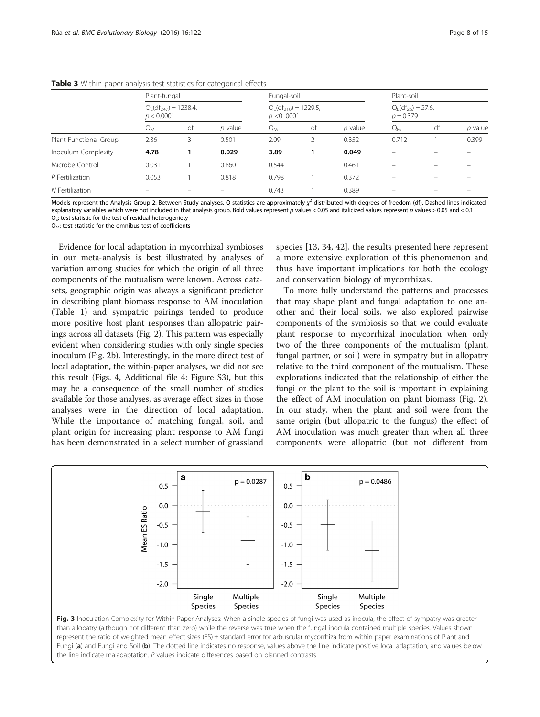| <b>TWATE</b> THERE PUPE: SHOPS COT SCOLOGICS TO COLOGION CHOCOLS |                                                         |    |           |                                          |             |           |                                        |            |         |  |
|------------------------------------------------------------------|---------------------------------------------------------|----|-----------|------------------------------------------|-------------|-----------|----------------------------------------|------------|---------|--|
|                                                                  | Plant-fungal<br>$Q_E(df_{247}) = 1238.4,$<br>p < 0.0001 |    |           |                                          | Fungal-soil |           |                                        | Plant-soil |         |  |
|                                                                  |                                                         |    |           | $Q_F(df_{210}) = 1229.5$ ,<br>p < 0.0001 |             |           | $Q_F(df_{26}) = 27.6$ ,<br>$p = 0.379$ |            |         |  |
|                                                                  | $Q_{M}$                                                 | df | $p$ value | Qм                                       | df          | $p$ value | $Q_{M}$                                | df         | p value |  |
| Plant Functional Group                                           | 2.36                                                    |    | 0.501     | 2.09                                     |             | 0.352     | 0.712                                  |            | 0.399   |  |
| Inoculum Complexity                                              | 4.78                                                    |    | 0.029     | 3.89                                     |             | 0.049     |                                        |            |         |  |
| Microbe Control                                                  | 0.031                                                   |    | 0.860     | 0.544                                    |             | 0.461     |                                        |            |         |  |
| P Fertilization                                                  | 0.053                                                   |    | 0.818     | 0.798                                    |             | 0.372     |                                        |            |         |  |
| N Fertilization                                                  |                                                         |    |           | 0.743                                    |             | 0.389     |                                        |            |         |  |

<span id="page-7-0"></span>Table 3 Within paper analysis test statistics for categorical effects

Models represent the Analysis Group 2: Between Study analyses. Q statistics are approximately  $\chi^2$  distributed with degrees of freedom (df). Dashed lines indicated explanatory variables which were not included in that analysis group. Bold values represent p values < 0.05 and italicized values represent p values > 0.05 and < 0.1 QE: test statistic for the test of residual heterogeniety

 $Q_M$ : test statistic for the omnibus test of coefficients

Evidence for local adaptation in mycorrhizal symbioses in our meta-analysis is best illustrated by analyses of variation among studies for which the origin of all three components of the mutualism were known. Across datasets, geographic origin was always a significant predictor in describing plant biomass response to AM inoculation (Table [1](#page-4-0)) and sympatric pairings tended to produce more positive host plant responses than allopatric pairings across all datasets (Fig. [2](#page-6-0)). This pattern was especially evident when considering studies with only single species inoculum (Fig. [2b\)](#page-6-0). Interestingly, in the more direct test of local adaptation, the within-paper analyses, we did not see this result (Figs. [4](#page-8-0), Additional file [4](#page-12-0): Figure S3), but this may be a consequence of the small number of studies available for those analyses, as average effect sizes in those analyses were in the direction of local adaptation. While the importance of matching fungal, soil, and plant origin for increasing plant response to AM fungi has been demonstrated in a select number of grassland

species [\[13](#page-13-0), [34](#page-13-0), [42](#page-13-0)], the results presented here represent a more extensive exploration of this phenomenon and thus have important implications for both the ecology and conservation biology of mycorrhizas.

To more fully understand the patterns and processes that may shape plant and fungal adaptation to one another and their local soils, we also explored pairwise components of the symbiosis so that we could evaluate plant response to mycorrhizal inoculation when only two of the three components of the mutualism (plant, fungal partner, or soil) were in sympatry but in allopatry relative to the third component of the mutualism. These explorations indicated that the relationship of either the fungi or the plant to the soil is important in explaining the effect of AM inoculation on plant biomass (Fig. [2](#page-6-0)). In our study, when the plant and soil were from the same origin (but allopatric to the fungus) the effect of AM inoculation was much greater than when all three components were allopatric (but not different from



Fungi (a) and Fungi and Soil (b). The dotted line indicates no response, values above the line indicate positive local adaptation, and values below

the line indicate maladaptation. P values indicate differences based on planned contrasts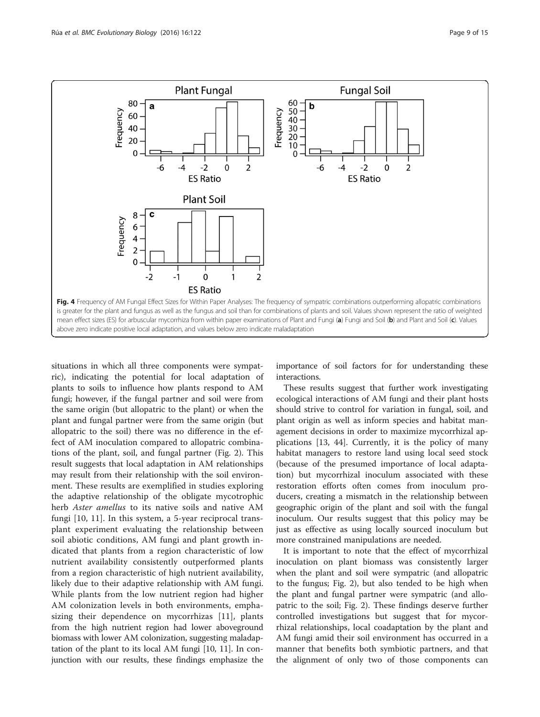80

a

**Plant Fungal** 



<span id="page-8-0"></span>

situations in which all three components were sympatric), indicating the potential for local adaptation of plants to soils to influence how plants respond to AM fungi; however, if the fungal partner and soil were from the same origin (but allopatric to the plant) or when the plant and fungal partner were from the same origin (but allopatric to the soil) there was no difference in the effect of AM inoculation compared to allopatric combinations of the plant, soil, and fungal partner (Fig. [2](#page-6-0)). This result suggests that local adaptation in AM relationships may result from their relationship with the soil environment. These results are exemplified in studies exploring the adaptive relationship of the obligate mycotrophic herb Aster amellus to its native soils and native AM fungi [[10, 11](#page-13-0)]. In this system, a 5-year reciprocal transplant experiment evaluating the relationship between soil abiotic conditions, AM fungi and plant growth indicated that plants from a region characteristic of low nutrient availability consistently outperformed plants from a region characteristic of high nutrient availability, likely due to their adaptive relationship with AM fungi. While plants from the low nutrient region had higher AM colonization levels in both environments, emphasizing their dependence on mycorrhizas [[11](#page-13-0)], plants from the high nutrient region had lower aboveground biomass with lower AM colonization, suggesting maladaptation of the plant to its local AM fungi [\[10, 11\]](#page-13-0). In conjunction with our results, these findings emphasize the

importance of soil factors for for understanding these interactions.

These results suggest that further work investigating ecological interactions of AM fungi and their plant hosts should strive to control for variation in fungal, soil, and plant origin as well as inform species and habitat management decisions in order to maximize mycorrhizal applications [[13, 44](#page-13-0)]. Currently, it is the policy of many habitat managers to restore land using local seed stock (because of the presumed importance of local adaptation) but mycorrhizal inoculum associated with these restoration efforts often comes from inoculum producers, creating a mismatch in the relationship between geographic origin of the plant and soil with the fungal inoculum. Our results suggest that this policy may be just as effective as using locally sourced inoculum but more constrained manipulations are needed.

It is important to note that the effect of mycorrhizal inoculation on plant biomass was consistently larger when the plant and soil were sympatric (and allopatric to the fungus; Fig. [2\)](#page-6-0), but also tended to be high when the plant and fungal partner were sympatric (and allopatric to the soil; Fig. [2\)](#page-6-0). These findings deserve further controlled investigations but suggest that for mycorrhizal relationships, local coadaptation by the plant and AM fungi amid their soil environment has occurred in a manner that benefits both symbiotic partners, and that the alignment of only two of those components can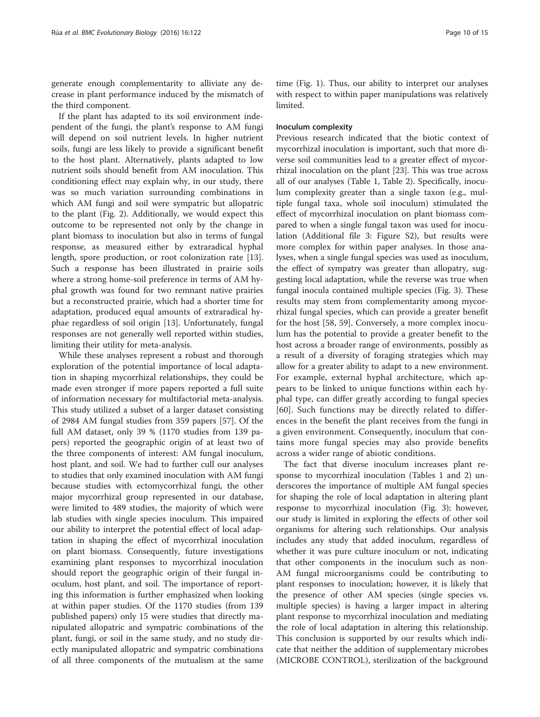generate enough complementarity to alliviate any decrease in plant performance induced by the mismatch of the third component.

If the plant has adapted to its soil environment independent of the fungi, the plant's response to AM fungi will depend on soil nutrient levels. In higher nutrient soils, fungi are less likely to provide a significant benefit to the host plant. Alternatively, plants adapted to low nutrient soils should benefit from AM inoculation. This conditioning effect may explain why, in our study, there was so much variation surrounding combinations in which AM fungi and soil were sympatric but allopatric to the plant (Fig. [2](#page-6-0)). Additionally, we would expect this outcome to be represented not only by the change in plant biomass to inoculation but also in terms of fungal response, as measured either by extraradical hyphal length, spore production, or root colonization rate [\[13](#page-13-0)]. Such a response has been illustrated in prairie soils where a strong home-soil preference in terms of AM hyphal growth was found for two remnant native prairies but a reconstructed prairie, which had a shorter time for adaptation, produced equal amounts of extraradical hyphae regardless of soil origin [[13\]](#page-13-0). Unfortunately, fungal responses are not generally well reported within studies, limiting their utility for meta-analysis.

While these analyses represent a robust and thorough exploration of the potential importance of local adaptation in shaping mycorrhizal relationships, they could be made even stronger if more papers reported a full suite of information necessary for multifactorial meta-analysis. This study utilized a subset of a larger dataset consisting of 2984 AM fungal studies from 359 papers [\[57](#page-13-0)]. Of the full AM dataset, only 39 % (1170 studies from 139 papers) reported the geographic origin of at least two of the three components of interest: AM fungal inoculum, host plant, and soil. We had to further cull our analyses to studies that only examined inoculation with AM fungi because studies with ectomycorrhizal fungi, the other major mycorrhizal group represented in our database, were limited to 489 studies, the majority of which were lab studies with single species inoculum. This impaired our ability to interpret the potential effect of local adaptation in shaping the effect of mycorrhizal inoculation on plant biomass. Consequently, future investigations examining plant responses to mycorrhizal inoculation should report the geographic origin of their fungal inoculum, host plant, and soil. The importance of reporting this information is further emphasized when looking at within paper studies. Of the 1170 studies (from 139 published papers) only 15 were studies that directly manipulated allopatric and sympatric combinations of the plant, fungi, or soil in the same study, and no study directly manipulated allopatric and sympatric combinations of all three components of the mutualism at the same

time (Fig. [1](#page-4-0)). Thus, our ability to interpret our analyses with respect to within paper manipulations was relatively limited.

### Inoculum complexity

Previous research indicated that the biotic context of mycorrhizal inoculation is important, such that more diverse soil communities lead to a greater effect of mycorrhizal inoculation on the plant [\[23](#page-13-0)]. This was true across all of our analyses (Table [1,](#page-4-0) Table [2](#page-5-0)). Specifically, inoculum complexity greater than a single taxon (e.g., multiple fungal taxa, whole soil inoculum) stimulated the effect of mycorrhizal inoculation on plant biomass compared to when a single fungal taxon was used for inoculation (Additional file [3](#page-12-0): Figure S2), but results were more complex for within paper analyses. In those analyses, when a single fungal species was used as inoculum, the effect of sympatry was greater than allopatry, suggesting local adaptation, while the reverse was true when fungal inocula contained multiple species (Fig. [3\)](#page-7-0). These results may stem from complementarity among mycorrhizal fungal species, which can provide a greater benefit for the host [\[58, 59\]](#page-13-0). Conversely, a more complex inoculum has the potential to provide a greater benefit to the host across a broader range of environments, possibly as a result of a diversity of foraging strategies which may allow for a greater ability to adapt to a new environment. For example, external hyphal architecture, which appears to be linked to unique functions within each hyphal type, can differ greatly according to fungal species [[60\]](#page-13-0). Such functions may be directly related to differences in the benefit the plant receives from the fungi in a given environment. Consequently, inoculum that contains more fungal species may also provide benefits across a wider range of abiotic conditions.

The fact that diverse inoculum increases plant response to mycorrhizal inoculation (Tables [1](#page-4-0) and [2](#page-5-0)) underscores the importance of multiple AM fungal species for shaping the role of local adaptation in altering plant response to mycorrhizal inoculation (Fig. [3](#page-7-0)); however, our study is limited in exploring the effects of other soil organisms for altering such relationships. Our analysis includes any study that added inoculum, regardless of whether it was pure culture inoculum or not, indicating that other components in the inoculum such as non-AM fungal microorganisms could be contributing to plant responses to inoculation; however, it is likely that the presence of other AM species (single species vs. multiple species) is having a larger impact in altering plant response to mycorrhizal inoculation and mediating the role of local adaptation in altering this relationship. This conclusion is supported by our results which indicate that neither the addition of supplementary microbes (MICROBE CONTROL), sterilization of the background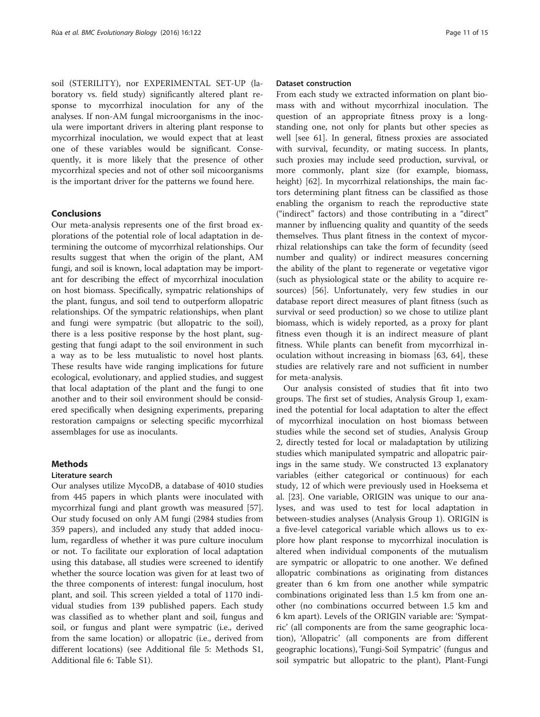soil (STERILITY), nor EXPERIMENTAL SET-UP (laboratory vs. field study) significantly altered plant response to mycorrhizal inoculation for any of the analyses. If non-AM fungal microorganisms in the inocula were important drivers in altering plant response to mycorrhizal inoculation, we would expect that at least one of these variables would be significant. Consequently, it is more likely that the presence of other mycorrhizal species and not of other soil micoorganisms is the important driver for the patterns we found here.

## Conclusions

Our meta-analysis represents one of the first broad explorations of the potential role of local adaptation in determining the outcome of mycorrhizal relationships. Our results suggest that when the origin of the plant, AM fungi, and soil is known, local adaptation may be important for describing the effect of mycorrhizal inoculation on host biomass. Specifically, sympatric relationships of the plant, fungus, and soil tend to outperform allopatric relationships. Of the sympatric relationships, when plant and fungi were sympatric (but allopatric to the soil), there is a less positive response by the host plant, suggesting that fungi adapt to the soil environment in such a way as to be less mutualistic to novel host plants. These results have wide ranging implications for future ecological, evolutionary, and applied studies, and suggest that local adaptation of the plant and the fungi to one another and to their soil environment should be considered specifically when designing experiments, preparing restoration campaigns or selecting specific mycorrhizal assemblages for use as inoculants.

## Methods

#### Literature search

Our analyses utilize MycoDB, a database of 4010 studies from 445 papers in which plants were inoculated with mycorrhizal fungi and plant growth was measured [\[57](#page-13-0)]. Our study focused on only AM fungi (2984 studies from 359 papers), and included any study that added inoculum, regardless of whether it was pure culture inoculum or not. To facilitate our exploration of local adaptation using this database, all studies were screened to identify whether the source location was given for at least two of the three components of interest: fungal inoculum, host plant, and soil. This screen yielded a total of 1170 individual studies from 139 published papers. Each study was classified as to whether plant and soil, fungus and soil, or fungus and plant were sympatric (i.e., derived from the same location) or allopatric (i.e., derived from different locations) (see Additional file [5:](#page-12-0) Methods S1, Additional file [6:](#page-12-0) Table S1).

#### Dataset construction

From each study we extracted information on plant biomass with and without mycorrhizal inoculation. The question of an appropriate fitness proxy is a longstanding one, not only for plants but other species as well [see [61\]](#page-13-0). In general, fitness proxies are associated with survival, fecundity, or mating success. In plants, such proxies may include seed production, survival, or more commonly, plant size (for example, biomass, height) [\[62](#page-13-0)]. In mycorrhizal relationships, the main factors determining plant fitness can be classified as those enabling the organism to reach the reproductive state ("indirect" factors) and those contributing in a "direct" manner by influencing quality and quantity of the seeds themselves. Thus plant fitness in the context of mycorrhizal relationships can take the form of fecundity (seed number and quality) or indirect measures concerning the ability of the plant to regenerate or vegetative vigor (such as physiological state or the ability to acquire resources) [\[56](#page-13-0)]. Unfortunately, very few studies in our database report direct measures of plant fitness (such as survival or seed production) so we chose to utilize plant biomass, which is widely reported, as a proxy for plant fitness even though it is an indirect measure of plant fitness. While plants can benefit from mycorrhizal inoculation without increasing in biomass [[63, 64\]](#page-14-0), these studies are relatively rare and not sufficient in number for meta-analysis.

Our analysis consisted of studies that fit into two groups. The first set of studies, Analysis Group 1, examined the potential for local adaptation to alter the effect of mycorrhizal inoculation on host biomass between studies while the second set of studies, Analysis Group 2, directly tested for local or maladaptation by utilizing studies which manipulated sympatric and allopatric pairings in the same study. We constructed 13 explanatory variables (either categorical or continuous) for each study, 12 of which were previously used in Hoeksema et al. [\[23\]](#page-13-0). One variable, ORIGIN was unique to our analyses, and was used to test for local adaptation in between-studies analyses (Analysis Group 1). ORIGIN is a five-level categorical variable which allows us to explore how plant response to mycorrhizal inoculation is altered when individual components of the mutualism are sympatric or allopatric to one another. We defined allopatric combinations as originating from distances greater than 6 km from one another while sympatric combinations originated less than 1.5 km from one another (no combinations occurred between 1.5 km and 6 km apart). Levels of the ORIGIN variable are: 'Sympatric' (all components are from the same geographic location), 'Allopatric' (all components are from different geographic locations), 'Fungi-Soil Sympatric' (fungus and soil sympatric but allopatric to the plant), Plant-Fungi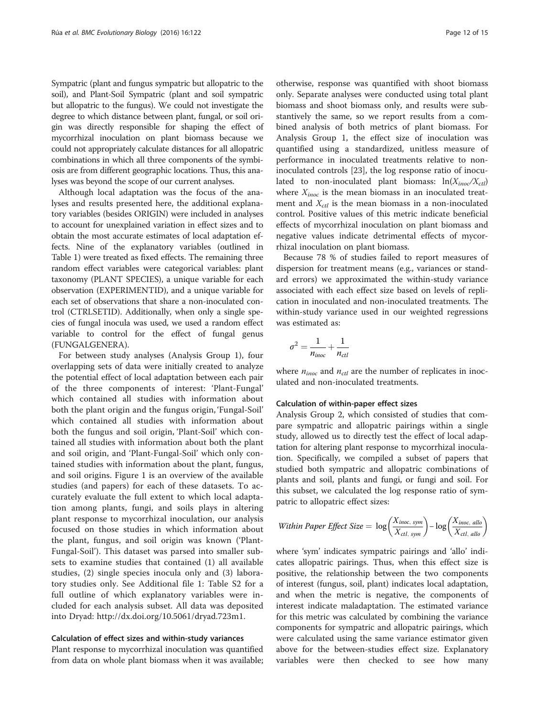Sympatric (plant and fungus sympatric but allopatric to the soil), and Plant-Soil Sympatric (plant and soil sympatric but allopatric to the fungus). We could not investigate the degree to which distance between plant, fungal, or soil origin was directly responsible for shaping the effect of mycorrhizal inoculation on plant biomass because we could not appropriately calculate distances for all allopatric combinations in which all three components of the symbiosis are from different geographic locations. Thus, this analyses was beyond the scope of our current analyses.

Although local adaptation was the focus of the analyses and results presented here, the additional explanatory variables (besides ORIGIN) were included in analyses to account for unexplained variation in effect sizes and to obtain the most accurate estimates of local adaptation effects. Nine of the explanatory variables (outlined in Table [1](#page-4-0)) were treated as fixed effects. The remaining three random effect variables were categorical variables: plant taxonomy (PLANT SPECIES), a unique variable for each observation (EXPERIMENTID), and a unique variable for each set of observations that share a non-inoculated control (CTRLSETID). Additionally, when only a single species of fungal inocula was used, we used a random effect variable to control for the effect of fungal genus (FUNGALGENERA).

For between study analyses (Analysis Group 1), four overlapping sets of data were initially created to analyze the potential effect of local adaptation between each pair of the three components of interest: 'Plant-Fungal' which contained all studies with information about both the plant origin and the fungus origin, 'Fungal-Soil' which contained all studies with information about both the fungus and soil origin, 'Plant-Soil' which contained all studies with information about both the plant and soil origin, and 'Plant-Fungal-Soil' which only contained studies with information about the plant, fungus, and soil origins. Figure [1](#page-4-0) is an overview of the available studies (and papers) for each of these datasets. To accurately evaluate the full extent to which local adaptation among plants, fungi, and soils plays in altering plant response to mycorrhizal inoculation, our analysis focused on those studies in which information about the plant, fungus, and soil origin was known ('Plant-Fungal-Soil'). This dataset was parsed into smaller subsets to examine studies that contained (1) all available studies, (2) single species inocula only and (3) laboratory studies only. See Additional file [1:](#page-12-0) Table S2 for a full outline of which explanatory variables were included for each analysis subset. All data was deposited into Dryad: http://dx.doi.org/[10.5061/dryad.723m1.](http://dx.doi.org/10.5061/dryad.723m1)

#### Calculation of effect sizes and within-study variances

Plant response to mycorrhizal inoculation was quantified from data on whole plant biomass when it was available;

otherwise, response was quantified with shoot biomass only. Separate analyses were conducted using total plant biomass and shoot biomass only, and results were substantively the same, so we report results from a combined analysis of both metrics of plant biomass. For Analysis Group 1, the effect size of inoculation was quantified using a standardized, unitless measure of performance in inoculated treatments relative to noninoculated controls [\[23\]](#page-13-0), the log response ratio of inoculated to non-inoculated plant biomass:  $ln(X_{inoc}/X_{ctl})$ where  $X_{inoc}$  is the mean biomass in an inoculated treatment and  $X_{ctl}$  is the mean biomass in a non-inoculated control. Positive values of this metric indicate beneficial effects of mycorrhizal inoculation on plant biomass and negative values indicate detrimental effects of mycorrhizal inoculation on plant biomass.

Because 78 % of studies failed to report measures of dispersion for treatment means (e.g., variances or standard errors) we approximated the within-study variance associated with each effect size based on levels of replication in inoculated and non-inoculated treatments. The within-study variance used in our weighted regressions was estimated as:

$$
\sigma^2 = \frac{1}{n_{inoc}} + \frac{1}{n_{ctl}}
$$

where  $n_{inoc}$  and  $n_{ctl}$  are the number of replicates in inoculated and non-inoculated treatments.

#### Calculation of within-paper effect sizes

Analysis Group 2, which consisted of studies that compare sympatric and allopatric pairings within a single study, allowed us to directly test the effect of local adaptation for altering plant response to mycorrhizal inoculation. Specifically, we compiled a subset of papers that studied both sympatric and allopatric combinations of plants and soil, plants and fungi, or fungi and soil. For this subset, we calculated the log response ratio of sympatric to allopatric effect sizes:

Within Paper Effect Size = 
$$
\log \left( \frac{X_{inoc, sym}}{X_{ctl, sym}} \right) - \log \left( \frac{X_{inoc, allo}}{X_{ctl, allo}} \right)
$$

where 'sym' indicates sympatric pairings and 'allo' indicates allopatric pairings. Thus, when this effect size is positive, the relationship between the two components of interest (fungus, soil, plant) indicates local adaptation, and when the metric is negative, the components of interest indicate maladaptation. The estimated variance for this metric was calculated by combining the variance components for sympatric and allopatric pairings, which were calculated using the same variance estimator given above for the between-studies effect size. Explanatory variables were then checked to see how many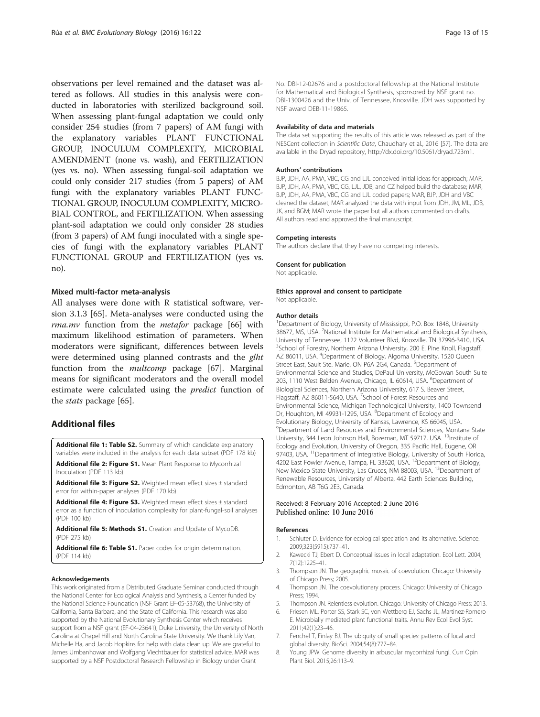<span id="page-12-0"></span>observations per level remained and the dataset was altered as follows. All studies in this analysis were conducted in laboratories with sterilized background soil. When assessing plant-fungal adaptation we could only consider 254 studies (from 7 papers) of AM fungi with the explanatory variables PLANT FUNCTIONAL GROUP, INOCULUM COMPLEXITY, MICROBIAL AMENDMENT (none vs. wash), and FERTILIZATION (yes vs. no). When assessing fungal-soil adaptation we could only consider 217 studies (from 5 papers) of AM fungi with the explanatory variables PLANT FUNC-TIONAL GROUP, INOCULUM COMPLEXITY, MICRO-BIAL CONTROL, and FERTILIZATION. When assessing plant-soil adaptation we could only consider 28 studies (from 3 papers) of AM fungi inoculated with a single species of fungi with the explanatory variables PLANT FUNCTIONAL GROUP and FERTILIZATION (yes vs. no).

## Mixed multi-factor meta-analysis

All analyses were done with R statistical software, version 3.1.3 [[65\]](#page-14-0). Meta-analyses were conducted using the rma.mv function from the metafor package [\[66](#page-14-0)] with maximum likelihood estimation of parameters. When moderators were significant, differences between levels were determined using planned contrasts and the *glht* function from the *multcomp* package [\[67](#page-14-0)]. Marginal means for significant moderators and the overall model estimate were calculated using the predict function of the stats package [[65\]](#page-14-0).

## Additional files

[Additional file 1: Table S2.](dx.doi.org/10.1186/s12862-016-0698-9) Summary of which candidate explanatory variables were included in the analysis for each data subset (PDF 178 kb)

[Additional file 2: Figure S1.](dx.doi.org/10.1186/s12862-016-0698-9) Mean Plant Response to Mycorrhizal Inoculation (PDF 113 kb)

[Additional file 3: Figure S2.](dx.doi.org/10.1186/s12862-016-0698-9) Weighted mean effect sizes ± standard error for within-paper analyses (PDF 170 kb)

[Additional file 4: Figure S3.](dx.doi.org/10.1186/s12862-016-0698-9) Weighted mean effect sizes ± standard error as a function of inoculation complexity for plant-fungal-soil analyses (PDF 100 kb)

[Additional file 5: Methods S1.](dx.doi.org/10.1186/s12862-016-0698-9) Creation and Update of MycoDB. (PDF 275 kb)

[Additional file 6: Table S1.](dx.doi.org/10.1186/s12862-016-0698-9) Paper codes for origin determination. (PDF 114 kb)

#### Acknowledgements

This work originated from a Distributed Graduate Seminar conducted through the National Center for Ecological Analysis and Synthesis, a Center funded by the National Science Foundation (NSF Grant EF-05-53768), the University of California, Santa Barbara, and the State of California. This research was also supported by the National Evolutionary Synthesis Center which receives support from a NSF grant (EF-04-23641), Duke University, the University of North Carolina at Chapel Hill and North Carolina State University. We thank Lily Van, Michelle Ha, and Jacob Hopkins for help with data clean up. We are grateful to James Umbanhowar and Wolfgang Viechtbauer for statistical advice. MAR was supported by a NSF Postdoctoral Research Fellowship in Biology under Grant

No. DBI-12-02676 and a postdoctoral fellowship at the National Institute for Mathematical and Biological Synthesis, sponsored by NSF grant no. DBI-1300426 and the Univ. of Tennessee, Knoxville. JDH was supported by NSF award DEB-11-19865.

#### Availability of data and materials

The data set supporting the results of this article was released as part of the NESCent collection in Scientific Data, Chaudhary et al., 2016 [\[57](#page-13-0)]. The data are available in the Dryad repository, http://dx.doi.org[/10.5061/dryad.723m1](http://dx.doi.org/10.5061/dryad.723m1).

#### Authors' contributions

BJP, JDH, AA, PMA, VBC, CG and LJL conceived initial ideas for approach; MAR, BJP, JDH, AA, PMA, VBC, CG, LJL, JDB, and CZ helped build the database; MAR, BJP, JDH, AA, PMA, VBC, CG and LJL coded papers; MAR, BJP, JDH and VBC cleaned the dataset, MAR analyzed the data with input from JDH, JM, ML, JDB, JK, and BGM; MAR wrote the paper but all authors commented on drafts. All authors read and approved the final manuscript.

#### Competing interests

The authors declare that they have no competing interests.

#### Consent for publication

Not applicable.

#### Ethics approval and consent to participate

Not applicable.

#### Author details

<sup>1</sup>Department of Biology, University of Mississippi, P.O. Box 1848, University 38677, MS, USA. <sup>2</sup>National Institute for Mathematical and Biological Synthesis University of Tennessee, 1122 Volunteer Blvd, Knoxville, TN 37996-3410, USA. <sup>3</sup>School of Forestry, Northern Arizona University, 200 E. Pine Knoll, Flagstaff AZ 86011, USA. <sup>4</sup>Department of Biology, Algoma University, 1520 Queen Street East, Sault Ste. Marie, ON P6A 2G4, Canada. <sup>5</sup>Department of Environmental Science and Studies, DePaul University, McGowan South Suite 203, 1110 West Belden Avenue, Chicago, IL 60614, USA. <sup>6</sup>Department of Biological Sciences, Northern Arizona University, 617 S. Beaver Street, Flagstaff, AZ 86011-5640, USA. <sup>7</sup>School of Forest Resources and Environmental Science, Michigan Technological University, 1400 Townsend Dr, Houghton, MI 49931-1295, USA. <sup>8</sup>Department of Ecology and Evolutionary Biology, University of Kansas, Lawrence, KS 66045, USA. <sup>9</sup>Department of Land Resources and Environmental Sciences, Montana State University, 344 Leon Johnson Hall, Bozeman, MT 59717, USA. <sup>10</sup>Institute of Ecology and Evolution, University of Oregon, 335 Pacific Hall, Eugene, OR 97403, USA. <sup>11</sup>Department of Integrative Biology, University of South Florida, 4202 East Fowler Avenue, Tampa, FL 33620, USA. 12Department of Biology, New Mexico State University, Las Cruces, NM 88003, USA. <sup>13</sup>Department of Renewable Resources, University of Alberta, 442 Earth Sciences Building, Edmonton, AB T6G 2E3, Canada.

#### Received: 8 February 2016 Accepted: 2 June 2016 Published online: 10 June 2016

#### References

- 1. Schluter D. Evidence for ecological speciation and its alternative. Science. 2009;323(5915):737–41.
- 2. Kawecki TJ, Ebert D. Conceptual issues in local adaptation. Ecol Lett. 2004; 7(12):1225–41.
- 3. Thompson JN. The geographic mosaic of coevolution. Chicago: University of Chicago Press; 2005.
- 4. Thompson JN. The coevolutionary process. Chicago: University of Chicago Press; 1994.
- 5. Thompson JN. Relentless evolution. Chicago: University of Chicago Press; 2013.
- 6. Friesen ML, Porter SS, Stark SC, von Wettberg EJ, Sachs JL, Martinez-Romero E. Microbially mediated plant functional traits. Annu Rev Ecol Evol Syst. 2011;42(1):23–46.
- 7. Fenchel T, Finlay BJ. The ubiquity of small species: patterns of local and global diversity. BioSci. 2004;54(8):777–84.
- 8. Young JPW. Genome diversity in arbuscular mycorrhizal fungi. Curr Opin Plant Biol. 2015;26:113–9.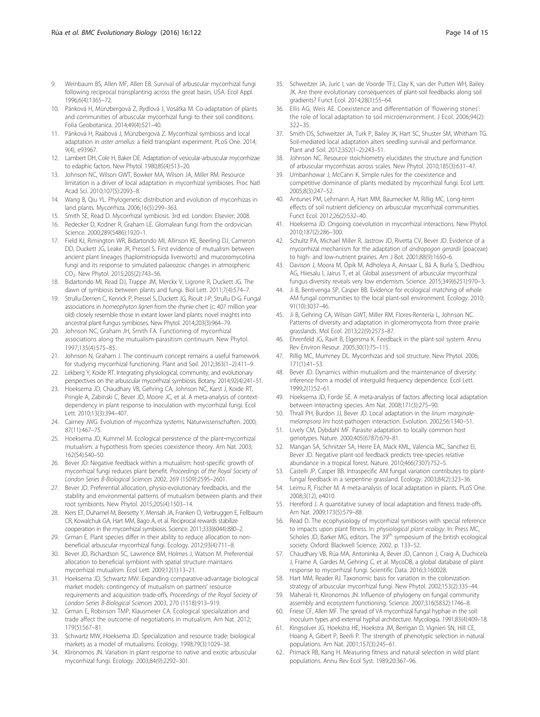- <span id="page-13-0"></span>9. Weinbaum BS, Allen MF, Allen EB. Survival of arbuscular mycorrhizal fungi following reciprocal transplanting across the great basin, USA. Ecol Appl. 1996;6(4):1365–72.
- 10. Pánková H, Münzbergová Z, Rydlová J, Vosátka M. Co-adaptation of plants and communities of arbuscular mycorrhizal fungi to their soil conditions. Folia Geobotanica. 2014;49(4):521–40.
- 11. Pánková H, Raabová J, Münzbergová Z. Mycorrhizal symbiosis and local adaptation in aster amellus: a field transplant experiment. PLoS One. 2014; 9(4), e93967.
- 12. Lambert DH, Cole H, Baker DE. Adaptation of vesicular-arbuscular mycorrhizae to edaphic factors. New Phytol. 1980;85(4):513–20.
- 13. Johnson NC, Wilson GWT, Bowker MA, Wilson JA, Miller RM. Resource limitation is a driver of local adaptation in mycorrhizal symbioses. Proc Natl Acad Sci. 2010;107(5):2093–8.
- 14. Wang B, Qiu YL. Phylogenetic distribution and evolution of mycorrhizas in land plants. Mycorrhiza. 2006;16(5):299–363.
- 15. Smith SE, Read D. Mycorrhizal symbiosis. 3rd ed. London: Elsevier; 2008.
- 16. Redecker D, Kodner R, Graham LE. Glomalean fungi from the ordovician. Science. 2000;289(5486):1920–1.
- 17. Field KJ, Rimington WR, Bidartondo MI, Allinson KE, Beerling DJ, Cameron DD, Duckett JG, Leake JR, Pressel S. First evidence of mutualism between ancient plant lineages (haplomitriopsida liverworts) and mucoromycotina fungi and its response to simulated palaeozoic changes in atmospheric CO<sub>2</sub>. New Phytol. 2015;205(2):743-56.
- Bidartondo MI, Read DJ, Trappe JM, Merckx V, Ligrone R, Duckett JG. The dawn of symbiosis between plants and fungi. Biol Lett. 2011;7(4):574–7.
- 19. Strullu-Derrien C, Kenrick P, Pressel S, Duckett JG, Rioult J-P, Strullu D-G. Fungal associations in horneophyton ligneri from the rhynie chert (c. 407 million year old) closely resemble those in extant lower land plants: novel insights into ancestral plant-fungus symbioses. New Phytol. 2014;203(3):964–79.
- 20. Johnson NC, Graham JH, Smith FA. Functioning of mycorrhizal associations along the mutualism-parasitism continuum. New Phytol. 1997;135(4):575–85.
- 21. Johnson N, Graham J. The continuum concept remains a useful framework for studying mycorrhizal functioning. Plant and Soil. 2012;363(1–2):411–9.
- 22. Lekberg Y, Koide RT. Integrating physiological, community, and evolutionary perspectives on the arbuscular mycorrhizal symbiosis. Botany. 2014;92(4):241–51.
- 23. Hoeksema JD, Chaudhary VB, Gehring CA, Johnson NC, Karst J, Koide RT, Pringle A, Zabinski C, Bever JD, Moore JC, et al. A meta-analysis of contextdependency in plant response to inoculation with mycorrhizal fungi. Ecol Lett. 2010;13(3):394–407.
- 24. Cairney JWG. Evolution of mycorrhiza systems. Naturwissenschaften. 2000; 87(11):467–75.
- 25. Hoeksema JD, Kummel M. Ecological persistence of the plant-mycorrhizal mutualism: a hypothesis from species coexistence theory. Am Nat. 2003; 162(S4):S40–50.
- 26. Bever JD: Negative feedback within a mutualism: host-specific growth of mycorrhizal fungi reduces plant benefit. Proceedings of the Royal Society of London Series B-Biological Sciences 2002, 269 (1509):2595–2601.
- 27. Bever JD. Preferential allocation, physio-evolutionary feedbacks, and the stability and environmental patterns of mutualism between plants and their root symbionts. New Phytol. 2015;205(4):1503–14.
- 28. Kiers ET, Duhamel M, Beesetty Y, Mensah JA, Franken O, Verbruggen E, Fellbaum CR, Kowalchuk GA, Hart MM, Bago A, et al. Reciprocal rewards stabilize cooperation in the mycorrhizal symbiosis. Science. 2011;333(6044):880–2.
- 29. Grman E. Plant species differ in their ability to reduce allocation to nonbeneficial arbuscular mycorrhizal fungi. Ecology. 2012;93(4):711–8.
- 30. Bever JD, Richardson SC, Lawrence BM, Holmes J, Watson M. Preferential allocation to beneficial symbiont with spatial structure maintains mycorrhizal mutualism. Ecol Lett. 2009;12(1):13–21.
- 31. Hoeksema JD, Schwartz MW: Expanding comparative-advantage biological market models: contingency of mutualism on partners' resource requirements and acquisition trade-offs. Proceedings of the Royal Society of London Series B-Biological Sciences 2003, 270 (1518):913–919.
- 32. Grman E, Robinson TMP, Klausmeier CA. Ecological specialization and trade affect the outcome of negotiations in mutualism. Am Nat. 2012; 179(5):567–81.
- 33. Schwartz MW, Hoeksema JD. Specialization and resource trade: biological markets as a model of mutualisms. Ecology. 1998;79(3):1029–38.
- 34. Klironomos JN. Variation in plant response to native and exotic arbuscular mycorrhizal fungi. Ecology. 2003;84(9):2292–301.
- 35. Schweitzer JA, Juric I, van de Voorde TFJ, Clay K, van der Putten WH, Bailey JK. Are there evolutionary consequences of plant-soil feedbacks along soil gradients? Funct Ecol. 2014;28(1):55–64.
- 36. Ellis AG, Weis AE. Coexistence and differentiation of 'flowering stones': the role of local adaptation to soil microenvironment. J Ecol. 2006;94(2): 322–35.
- 37. Smith DS, Schweitzer JA, Turk P, Bailey JK, Hart SC, Shuster SM, Whitham TG. Soil-mediated local adaptation alters seedling survival and performance. Plant and Soil. 2012;352(1–2):243–51.
- 38. Johnson NC. Resource stoichiometry elucidates the structure and function of arbuscular mycorrhizas across scales. New Phytol. 2010;185(3):631–47.
- Umbanhowar J, McCann K. Simple rules for the coexistence and competitive dominance of plants mediated by mycorrhizal fungi. Ecol Lett. 2005;8(3):247–52.
- 40. Antunes PM, Lehmann A, Hart MM, Baumecker M, Rillig MC. Long-term effects of soil nutrient deficiency on arbuscular mycorrhizal communities. Funct Ecol. 2012;26(2):532–40.
- 41. Hoeksema JD. Ongoing coevolution in mycorrhizal interactions. New Phytol. 2010;187(2):286–300.
- 42. Schultz PA, Michael Miller R, Jastrow JD, Rivetta CV, Bever JD. Evidence of a mycorrhizal mechanism for the adaptation of andropogon gerardii (poaceae) to high- and low-nutrient prairies. Am J Bot. 2001;88(9):1650–6.
- 43. Davison J, Moora M, Öpik M, Adholeya A, Ainsaar L, Bâ A, Burla S, Diedhiou AG, Hiiesalu I, Jairus T, et al. Global assessment of arbuscular mycorrhizal fungus diversity reveals very low endemism. Science. 2015;349(6251):970–3.
- 44. Ji B, Bentivenga SP, Casper BB. Evidence for ecological matching of whole AM fungal communities to the local plant-soil environment. Ecology. 2010; 91(10):3037–46.
- 45. Ji B, Gehring CA, Wilson GWT, Miller RM, Flores-Rentería L, Johnson NC. Patterns of diversity and adaptation in glomeromycota from three prairie grasslands. Mol Ecol. 2013;22(9):2573–87.
- 46. Ehrenfeld JG, Ravit B, Elgersma K. Feedback in the plant-soil system. Annu Rev Environ Resour. 2005;30(1):75–115.
- 47. Rillig MC, Mummey DL. Mycorrhizas and soil structure. New Phytol. 2006; 171(1):41–53.
- 48. Bever JD. Dynamics within mutualism and the maintenance of diversity: inference from a model of interguild frequency dependence. Ecol Lett. 1999;2(1):52–61.
- 49. Hoeksema JD, Forde SE. A meta-analysis of factors affecting local adaptation between interacting species. Am Nat. 2008;171(3):275–90.
- 50. Thrall PH, Burdon JJ, Bever JD. Local adaptation in the linum marginalemelampsora lini host-pathogen interaction. Evolution. 2002;56:1340–51.
- 51. Lively CM, Dybdahl MF. Parasite adaptation to locally common host genotypes. Nature. 2000;405(6787):679–81.
- 52. Mangan SA, Schnitzer SA, Herre EA, Mack KML, Valencia MC, Sanchez EI, Bever JD. Negative plant-soil feedback predicts tree-species relative abundance in a tropical forest. Nature. 2010;466(7307):752–5.
- 53. Castelli JP, Casper BB. Intraspecific AM fungal variation contributes to plantfungal feedback in a serpentine grassland. Ecology. 2003;84(2):323–36.
- 54. Leimu R, Fischer M. A meta-analysis of local adaptation in plants. PLoS One. 2008;3(12), e4010.
- 55. Hereford J. A quantitative survey of local adaptation and fitness trade-offs. Am Nat. 2009;173(5):579–88.
- 56. Read D. The ecophysiology of mycorrhizal symbioses with special reference to impacts upon plant fitness. In: physiological plant ecology. In: Press MC, Scholes JD, Barker MG, editors. The 39<sup>th</sup> symposium of the british ecological society. Oxford: Blackwell Science; 2002. p. 133–52.
- 57. Chaudhary VB, Rúa MA, Antoninka A, Bever JD, Cannon J, Craig A, Duchicela J, Frame A, Gardes M, Gehring C, et al. MycoDB, a global database of plant response to mycorrhizal fungi. Scientific Data. 2016;3:160028.
- Hart MM, Reader RJ. Taxonomic basis for variation in the colonization strategy of arbuscular mycorrhizal fungi. New Phytol. 2002;153(2):335–44.
- 59. Maherali H, Klironomos JN. Influence of phylogeny on fungal community assembly and ecosystem functioning. Science. 2007;316(5832):1746–8.
- 60. Friese CF, Allen MF. The spread of VA mycorrhizal fungal hyphae in the soil: inoculum types and external hyphal architecture. Mycologia. 1991;83(4):409–18.
- 61. Kingsolver JG, Hoekstra HE, Hoekstra JM, Berrigan D, Vignieri SN, Hill CE, Hoang A, Gibert P, Beerli P. The strength of phenotypic selection in natural populations. Am Nat. 2001;157(3):245–61.
- 62. Primack RB, Kang H. Measuring fitness and natural selection in wild plant populations. Annu Rev Ecol Syst. 1989;20:367–96.